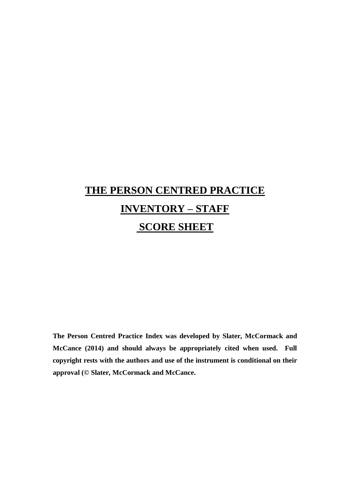# **THE PERSON CENTRED PRACTICE INVENTORY – STAFF SCORE SHEET**

**The Person Centred Practice Index was developed by Slater, McCormack and McCance (2014) and should always be appropriately cited when used. Full copyright rests with the authors and use of the instrument is conditional on their approval (© Slater, McCormack and McCance.**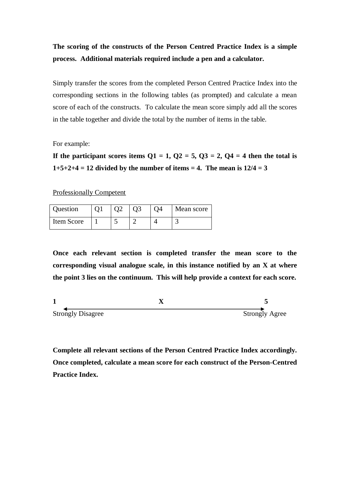## **The scoring of the constructs of the Person Centred Practice Index is a simple process. Additional materials required include a pen and a calculator.**

Simply transfer the scores from the completed Person Centred Practice Index into the corresponding sections in the following tables (as prompted) and calculate a mean score of each of the constructs. To calculate the mean score simply add all the scores in the table together and divide the total by the number of items in the table.

For example:

If the participant scores items  $Q1 = 1$ ,  $Q2 = 5$ ,  $Q3 = 2$ ,  $Q4 = 4$  then the total is  $1+5+2+4 = 12$  divided by the number of items = 4. The mean is  $12/4 = 3$ 

Professionally Competent

| Question   |  |  | Mean score |
|------------|--|--|------------|
| Item Score |  |  |            |

**Once each relevant section is completed transfer the mean score to the corresponding visual analogue scale, in this instance notified by an X at where the point 3 lies on the continuum. This will help provide a context for each score.**

**1 X 5** Strongly Disagree Strongly Agree

**Complete all relevant sections of the Person Centred Practice Index accordingly. Once completed, calculate a mean score for each construct of the Person-Centred Practice Index.**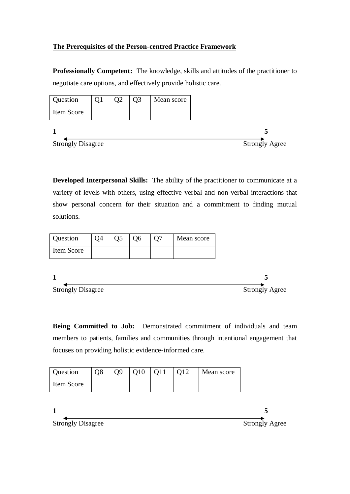## **The Prerequisites of the Person-centred Practice Framework**

**Professionally Competent:** The knowledge, skills and attitudes of the practitioner to negotiate care options, and effectively provide holistic care.

| <b>Question</b>          | Q <sub>2</sub> | Q <sub>3</sub> | Mean score |
|--------------------------|----------------|----------------|------------|
| Item Score               |                |                |            |
|                          |                |                |            |
| <b>Strongly Disagree</b> |                |                |            |

**Developed Interpersonal Skills:** The ability of the practitioner to communicate at a variety of levels with others, using effective verbal and non-verbal interactions that show personal concern for their situation and a commitment to finding mutual solutions.

| Item Score | Question | Q4 | Q <sub>5</sub> | Q6 | O7 | Mean score |
|------------|----------|----|----------------|----|----|------------|
|            |          |    |                |    |    |            |

| <b>Strongly Disagree</b> | <b>Strongly Agree</b> |
|--------------------------|-----------------------|

**Being Committed to Job:** Demonstrated commitment of individuals and team members to patients, families and communities through intentional engagement that focuses on providing holistic evidence-informed care.

| Question   | O8 | 09 | Q10 | O11 | O <sub>12</sub> | Mean score |
|------------|----|----|-----|-----|-----------------|------------|
| Item Score |    |    |     |     |                 |            |

| <b>Strongly Disagree</b> | <b>Strongly Agree</b> |
|--------------------------|-----------------------|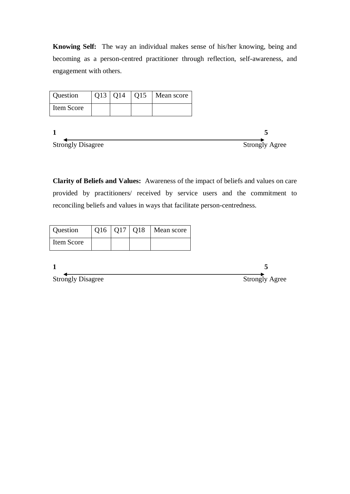**Knowing Self:** The way an individual makes sense of his/her knowing, being and becoming as a person-centred practitioner through reflection, self-awareness, and engagement with others.



**Clarity of Beliefs and Values:** Awareness of the impact of beliefs and values on care provided by practitioners/ received by service users and the commitment to reconciling beliefs and values in ways that facilitate person-centredness.

| Question                 | $Q16$   $Q17$   $Q18$ | Mean score |
|--------------------------|-----------------------|------------|
| Item Score               |                       |            |
|                          |                       |            |
|                          |                       |            |
| <b>Strongly Disagree</b> |                       |            |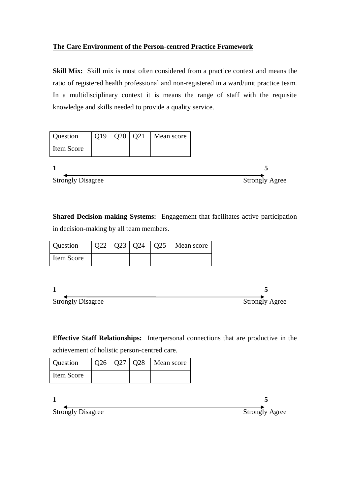## **The Care Environment of the Person-centred Practice Framework**

**Skill Mix:** Skill mix is most often considered from a practice context and means the ratio of registered health professional and non-registered in a ward/unit practice team. In a multidisciplinary context it is means the range of staff with the requisite knowledge and skills needed to provide a quality service.

| <b>Question</b>          | Q19 | Q20   Q21 | Mean score |
|--------------------------|-----|-----------|------------|
| Item Score               |     |           |            |
|                          |     |           |            |
| <b>Strongly Disagree</b> |     |           |            |

**Shared Decision-making Systems:** Engagement that facilitates active participation in decision-making by all team members.

| Question   |  |  | $\vert$ Q22 $\vert$ Q23 $\vert$ Q24 $\vert$ Q25 $\vert$ Mean score |
|------------|--|--|--------------------------------------------------------------------|
| Item Score |  |  |                                                                    |

| <b>Strongly Disagree</b> | <b>Strongly Agree</b> |
|--------------------------|-----------------------|

**Effective Staff Relationships:** Interpersonal connections that are productive in the achievement of holistic person-centred care.

| Question   |  | $\vert$ Q26 $\vert$ Q27 $\vert$ Q28 $\vert$ Mean score |
|------------|--|--------------------------------------------------------|
| Item Score |  |                                                        |

| <b>Strongly Disagree</b> | <b>Strongly Agree</b> |
|--------------------------|-----------------------|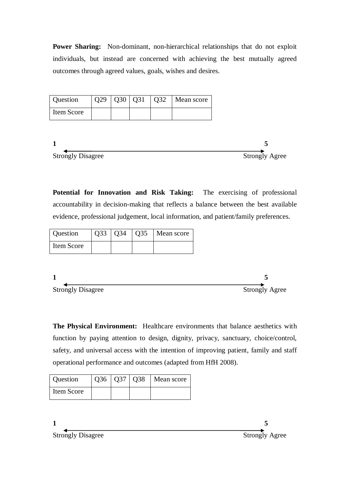**Power Sharing:** Non-dominant, non-hierarchical relationships that do not exploit individuals, but instead are concerned with achieving the best mutually agreed outcomes through agreed values, goals, wishes and desires.

| Question   |  | O32 | Mean score |
|------------|--|-----|------------|
| Item Score |  |     |            |



**Potential for Innovation and Risk Taking:** The exercising of professional accountability in decision-making that reflects a balance between the best available evidence, professional judgement, local information, and patient/family preferences.

| Question   | Q33   Q34 | $\overline{)035}$ | Mean score |
|------------|-----------|-------------------|------------|
| Item Score |           |                   |            |

**1 5** Strongly Disagree Strongly Agree

**The Physical Environment:** Healthcare environments that balance aesthetics with function by paying attention to design, dignity, privacy, sanctuary, choice/control, safety, and universal access with the intention of improving patient, family and staff operational performance and outcomes (adapted from HfH 2008).

| Question   |  | $\vert$ Q36 $\vert$ Q37 $\vert$ Q38 $\vert$ Mean score |
|------------|--|--------------------------------------------------------|
| Item Score |  |                                                        |

**1 5**

Strongly Disagree Strongly Agree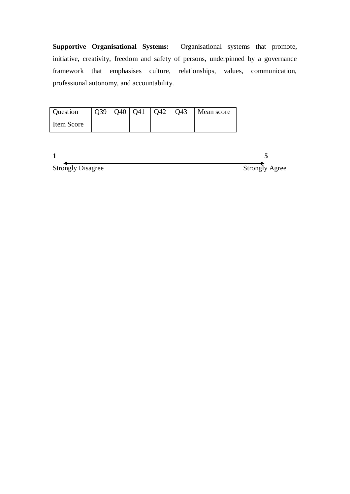**Supportive Organisational Systems:** Organisational systems that promote, initiative, creativity, freedom and safety of persons, underpinned by a governance framework that emphasises culture, relationships, values, communication, professional autonomy, and accountability.

| Question   |  | Q39   Q40   Q41   Q42   Q43 | Mean score |
|------------|--|-----------------------------|------------|
| Item Score |  |                             |            |

| <b>Strongly Disagree</b> | <b>Strongly Agree</b> |
|--------------------------|-----------------------|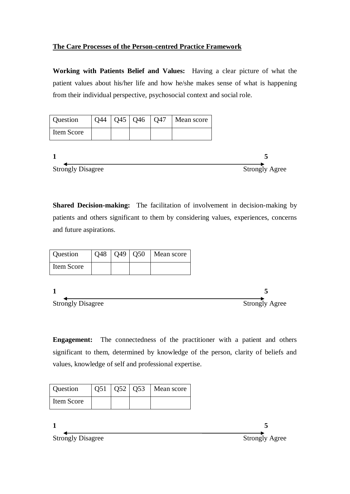## **The Care Processes of the Person-centred Practice Framework**

**Working with Patients Belief and Values:** Having a clear picture of what the patient values about his/her life and how he/she makes sense of what is happening from their individual perspective, psychosocial context and social role.

| <b>Question</b> | Q44 |  | $\vert$ Q45 $\vert$ Q46 $\vert$ Q47 $\vert$ Mean score |
|-----------------|-----|--|--------------------------------------------------------|
| Item Score      |     |  |                                                        |
|                 |     |  |                                                        |

**1 5** Strongly Disagree Strongly Agree

**Shared Decision-making:** The facilitation of involvement in decision-making by patients and others significant to them by considering values, experiences, concerns and future aspirations.

| Question                 | Q48 | Q49 | Q50 | Mean score |                       |
|--------------------------|-----|-----|-----|------------|-----------------------|
| Item Score               |     |     |     |            |                       |
|                          |     |     |     |            |                       |
|                          |     |     |     |            |                       |
| <b>Strongly Disagree</b> |     |     |     |            | <b>Strongly Agree</b> |

**Engagement:** The connectedness of the practitioner with a patient and others significant to them, determined by knowledge of the person, clarity of beliefs and values, knowledge of self and professional expertise.

| Question   |  | $Q51   Q52   Q53  $ Mean score |
|------------|--|--------------------------------|
| Item Score |  |                                |

**1 5** Strongly Disagree Strongly Agree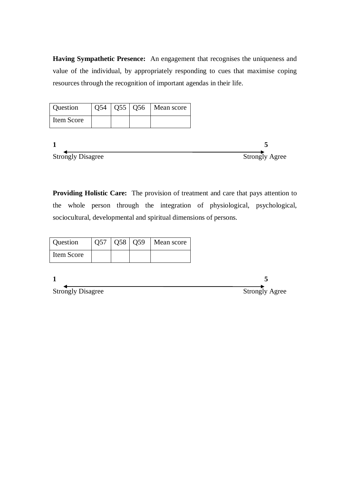**Having Sympathetic Presence:** An engagement that recognises the uniqueness and value of the individual, by appropriately responding to cues that maximise coping resources through the recognition of important agendas in their life.

| Question   |  | $Q54   Q55   Q56  $ Mean score |
|------------|--|--------------------------------|
| Item Score |  |                                |

| <b>Strongly Disagree</b> | <b>Strongly Agree</b> |
|--------------------------|-----------------------|

**Providing Holistic Care:** The provision of treatment and care that pays attention to the whole person through the integration of physiological, psychological, sociocultural, developmental and spiritual dimensions of persons.

| Question   |  | $Q57   Q58   Q59  $ Mean score |
|------------|--|--------------------------------|
| Item Score |  |                                |

1<br> **1**<br>
Strongly Disagree Strongly Agree Strongly Disagree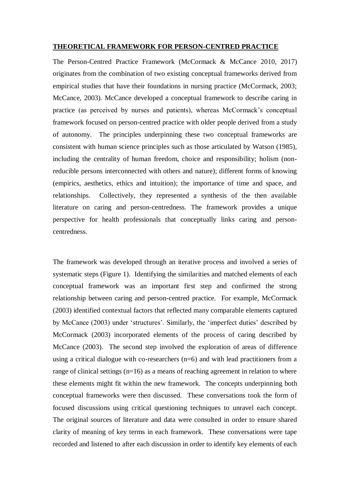#### **THEORETICAL FRAMEWORK FOR PERSON-CENTRED PRACTICE**

The Person-Centred Practice Framework (McCormack & McCance 2010, 2017) originates from the combination of two existing conceptual frameworks derived from empirical studies that have their foundations in nursing practice (McCormack, 2003; McCance, 2003). McCance developed a conceptual framework to describe caring in practice (as perceived by nurses and patients), whereas McCormack's conceptual framework focused on person-centred practice with older people derived from a study of autonomy. The principles underpinning these two conceptual frameworks are consistent with human science principles such as those articulated by Watson (1985), including the centrality of human freedom, choice and responsibility; holism (nonreducible persons interconnected with others and nature); different forms of knowing (empirics, aesthetics, ethics and intuition); the importance of time and space, and relationships. Collectively, they represented a synthesis of the then available literature on caring and person-centredness. The framework provides a unique perspective for health professionals that conceptually links caring and personcentredness.

The framework was developed through an iterative process and involved a series of systematic steps (Figure 1). Identifying the similarities and matched elements of each conceptual framework was an important first step and confirmed the strong relationship between caring and person-centred practice. For example, McCormack (2003) identified contextual factors that reflected many comparable elements captured by McCance (2003) under 'structures'. Similarly, the 'imperfect duties' described by McCormack (2003) incorporated elements of the process of caring described by McCance (2003). The second step involved the exploration of areas of difference using a critical dialogue with co-researchers (n=6) and with lead practitioners from a range of clinical settings (n=16) as a means of reaching agreement in relation to where these elements might fit within the new framework. The concepts underpinning both conceptual frameworks were then discussed. These conversations took the form of focused discussions using critical questioning techniques to unravel each concept. The original sources of literature and data were consulted in order to ensure shared clarity of meaning of key terms in each framework. These conversations were tape recorded and listened to after each discussion in order to identify key elements of each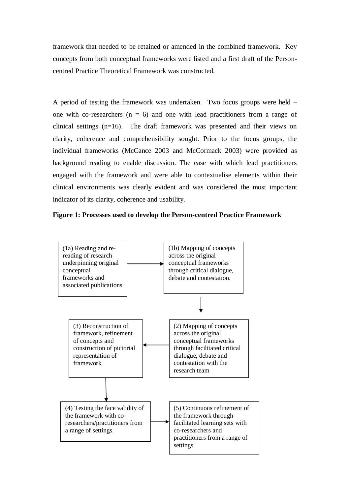framework that needed to be retained or amended in the combined framework. Key concepts from both conceptual frameworks were listed and a first draft of the Personcentred Practice Theoretical Framework was constructed.

A period of testing the framework was undertaken. Two focus groups were held – one with co-researchers  $(n = 6)$  and one with lead practitioners from a range of clinical settings (n=16). The draft framework was presented and their views on clarity, coherence and comprehensibility sought. Prior to the focus groups, the individual frameworks (McCance 2003 and McCormack 2003) were provided as background reading to enable discussion. The ease with which lead practitioners engaged with the framework and were able to contextualise elements within their clinical environments was clearly evident and was considered the most important indicator of its clarity, coherence and usability.



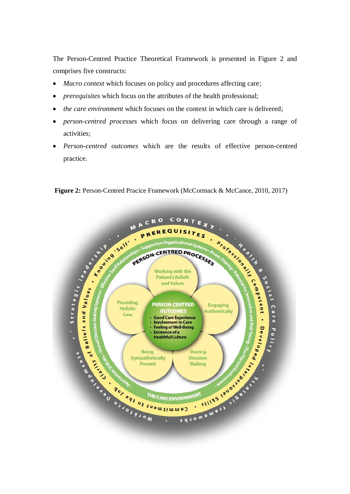The Person-Centred Practice Theoretical Framework is presented in Figure 2 and comprises five constructs:

- *Macro context* which focuses on policy and procedures affecting care;
- *prerequisites* which focus on the attributes of the health professional;
- *the care environment* which focuses on the context in which care is delivered;
- *person-centred processes* which focus on delivering care through a range of activities;
- *Person-centred outcomes* which are the results of effective person-centred practice.

CONT RO **Properties And Properties Avenue Represent Properties Avenue Represent Properties Avenue Representative Representative Representative Representative Representative Representative Representative Representative Representati**  $\begin{array}{lcl} \mathcal{S}^{(n)} & \mathcal{S}^{(n)} & \mathcal{S}^{(n)} & \mathcal{S}^{(n)} & \mathcal{S}^{(n)} & \mathcal{S}^{(n)} & \mathcal{S}^{(n)} & \mathcal{S}^{(n)} & \mathcal{S}^{(n)} & \mathcal{S}^{(n)} & \mathcal{S}^{(n)} & \mathcal{S}^{(n)} & \mathcal{S}^{(n)} & \mathcal{S}^{(n)} & \mathcal{S}^{(n)} & \mathcal{S}^{(n)} & \mathcal{S}^{(n)} & \mathcal{S}^{(n)} & \mathcal{S}^{(n)} & \mathcal$  $\boldsymbol{M}$ EQUISITES PERSON-CENTRED PROCESSES **PERSON-CENTRED Engaging Authentically Good Care Experience Feeling of Well-Being Decision** IRONMENT JUSTICS 1999 THE CARE ENVIRONMENT

**Figure 2: Person-Centred Pracice Framework (McCormack & McCance, 2010, 2017)**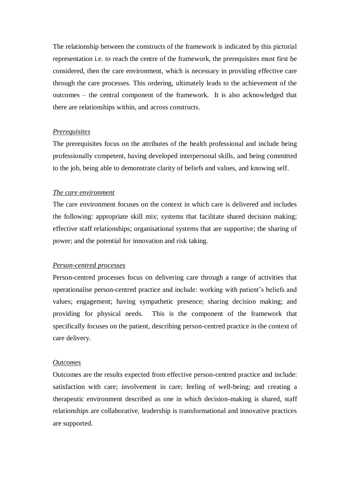The relationship between the constructs of the framework is indicated by this pictorial representation i.e. to reach the centre of the framework, the prerequisites must first be considered, then the care environment, which is necessary in providing effective care through the care processes. This ordering, ultimately leads to the achievement of the outcomes – the central component of the framework. It is also acknowledged that there are relationships within, and across constructs.

#### *Prerequisites*

The prerequisites focus on the attributes of the health professional and include being professionally competent, having developed interpersonal skills, and being committed to the job, being able to demonstrate clarity of beliefs and values, and knowing self.

#### *The care environment*

The care environment focuses on the context in which care is delivered and includes the following: appropriate skill mix; systems that facilitate shared decision making; effective staff relationships; organisational systems that are supportive; the sharing of power; and the potential for innovation and risk taking.

#### *Person-centred processes*

Person-centred processes focus on delivering care through a range of activities that operationalise person-centred practice and include: working with patient's beliefs and values; engagement; having sympathetic presence; sharing decision making; and providing for physical needs. This is the component of the framework that specifically focuses on the patient, describing person-centred practice in the context of care delivery.

#### *Outcomes*

Outcomes are the results expected from effective person-centred practice and include: satisfaction with care; involvement in care; feeling of well-being; and creating a therapeutic environment described as one in which decision-making is shared, staff relationships are collaborative, leadership is transformational and innovative practices are supported.